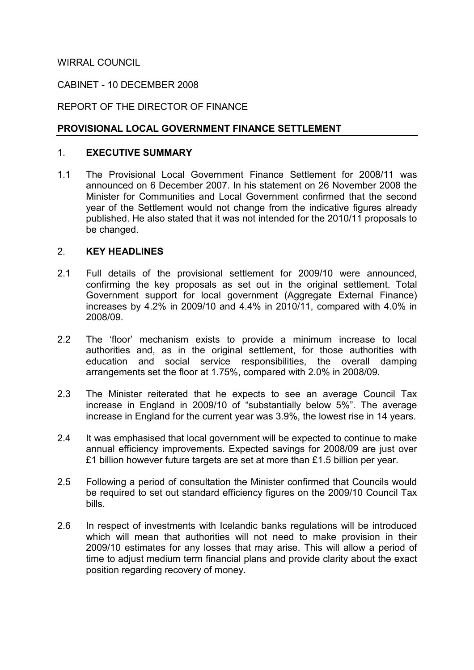WIRRAL COUNCIL

### CABINET - 10 DECEMBER 2008

### REPORT OF THE DIRECTOR OF FINANCE

### PROVISIONAL LOCAL GOVERNMENT FINANCE SETTLEMENT

#### 1. EXECUTIVE SUMMARY

1.1 The Provisional Local Government Finance Settlement for 2008/11 was announced on 6 December 2007. In his statement on 26 November 2008 the Minister for Communities and Local Government confirmed that the second year of the Settlement would not change from the indicative figures already published. He also stated that it was not intended for the 2010/11 proposals to be changed.

#### 2. KEY HEADLINES

- 2.1 Full details of the provisional settlement for 2009/10 were announced, confirming the key proposals as set out in the original settlement. Total Government support for local government (Aggregate External Finance) increases by 4.2% in 2009/10 and 4.4% in 2010/11, compared with 4.0% in 2008/09.
- 2.2 The 'floor' mechanism exists to provide a minimum increase to local authorities and, as in the original settlement, for those authorities with education and social service responsibilities, the overall damping arrangements set the floor at 1.75%, compared with 2.0% in 2008/09.
- 2.3 The Minister reiterated that he expects to see an average Council Tax increase in England in 2009/10 of "substantially below 5%". The average increase in England for the current year was 3.9%, the lowest rise in 14 years.
- 2.4 It was emphasised that local government will be expected to continue to make annual efficiency improvements. Expected savings for 2008/09 are just over £1 billion however future targets are set at more than £1.5 billion per year.
- 2.5 Following a period of consultation the Minister confirmed that Councils would be required to set out standard efficiency figures on the 2009/10 Council Tax bills.
- 2.6 In respect of investments with Icelandic banks regulations will be introduced which will mean that authorities will not need to make provision in their 2009/10 estimates for any losses that may arise. This will allow a period of time to adjust medium term financial plans and provide clarity about the exact position regarding recovery of money.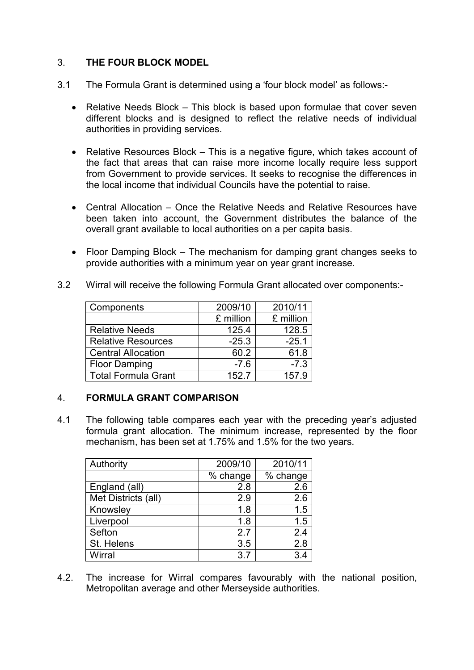## 3. THE FOUR BLOCK MODEL

- 3.1 The Formula Grant is determined using a 'four block model' as follows:-
	- Relative Needs Block This block is based upon formulae that cover seven different blocks and is designed to reflect the relative needs of individual authorities in providing services.
	- Relative Resources Block This is a negative figure, which takes account of the fact that areas that can raise more income locally require less support from Government to provide services. It seeks to recognise the differences in the local income that individual Councils have the potential to raise.
	- Central Allocation Once the Relative Needs and Relative Resources have been taken into account, the Government distributes the balance of the overall grant available to local authorities on a per capita basis.
	- Floor Damping Block The mechanism for damping grant changes seeks to provide authorities with a minimum year on year grant increase.
- 3.2 Wirral will receive the following Formula Grant allocated over components:-

| Components                 | 2009/10   | 2010/11   |
|----------------------------|-----------|-----------|
|                            | £ million | £ million |
| <b>Relative Needs</b>      | 125.4     | 128.5     |
| <b>Relative Resources</b>  | $-25.3$   | $-25.1$   |
| <b>Central Allocation</b>  | 60.2      | 61.8      |
| <b>Floor Damping</b>       | $-7.6$    | $-7.3$    |
| <b>Total Formula Grant</b> | 152.7     | 157.9     |

#### 4. FORMULA GRANT COMPARISON

4.1 The following table compares each year with the preceding year's adjusted formula grant allocation. The minimum increase, represented by the floor mechanism, has been set at 1.75% and 1.5% for the two years.

| Authority           | 2009/10  | 2010/11  |
|---------------------|----------|----------|
|                     | % change | % change |
| England (all)       | 2.8      | 2.6      |
| Met Districts (all) | 2.9      | 2.6      |
| Knowsley            | 1.8      | 1.5      |
| Liverpool           | 1.8      | 1.5      |
| Sefton              | 2.7      | 2.4      |
| St. Helens          | 3.5      | 2.8      |
| Wirral              | 3.7      | 3.4      |

4.2. The increase for Wirral compares favourably with the national position, Metropolitan average and other Merseyside authorities.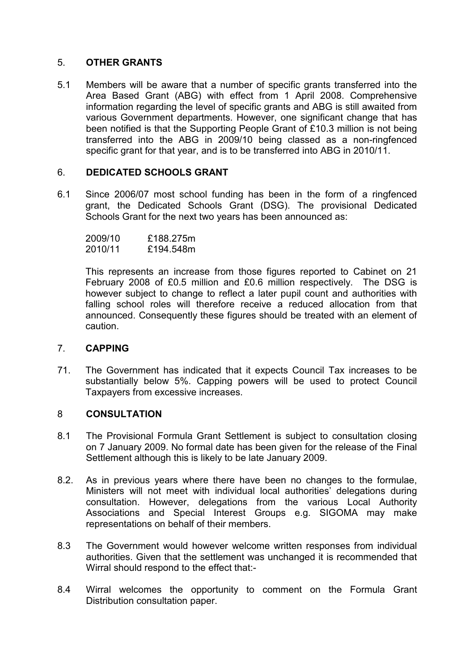### 5. OTHER GRANTS

5.1 Members will be aware that a number of specific grants transferred into the Area Based Grant (ABG) with effect from 1 April 2008. Comprehensive information regarding the level of specific grants and ABG is still awaited from various Government departments. However, one significant change that has been notified is that the Supporting People Grant of £10.3 million is not being transferred into the ABG in 2009/10 being classed as a non-ringfenced specific grant for that year, and is to be transferred into ABG in 2010/11.

# 6. DEDICATED SCHOOLS GRANT

6.1 Since 2006/07 most school funding has been in the form of a ringfenced grant, the Dedicated Schools Grant (DSG). The provisional Dedicated Schools Grant for the next two years has been announced as:

| 2009/10 | £188.275m |
|---------|-----------|
| 2010/11 | £194.548m |

This represents an increase from those figures reported to Cabinet on 21 February 2008 of £0.5 million and £0.6 million respectively. The DSG is however subject to change to reflect a later pupil count and authorities with falling school roles will therefore receive a reduced allocation from that announced. Consequently these figures should be treated with an element of caution.

#### 7. CAPPING

71. The Government has indicated that it expects Council Tax increases to be substantially below 5%. Capping powers will be used to protect Council Taxpayers from excessive increases.

# 8 CONSULTATION

- 8.1 The Provisional Formula Grant Settlement is subject to consultation closing on 7 January 2009. No formal date has been given for the release of the Final Settlement although this is likely to be late January 2009.
- 8.2. As in previous years where there have been no changes to the formulae, Ministers will not meet with individual local authorities' delegations during consultation. However, delegations from the various Local Authority Associations and Special Interest Groups e.g. SIGOMA may make representations on behalf of their members.
- 8.3 The Government would however welcome written responses from individual authorities. Given that the settlement was unchanged it is recommended that Wirral should respond to the effect that:-
- 8.4 Wirral welcomes the opportunity to comment on the Formula Grant Distribution consultation paper.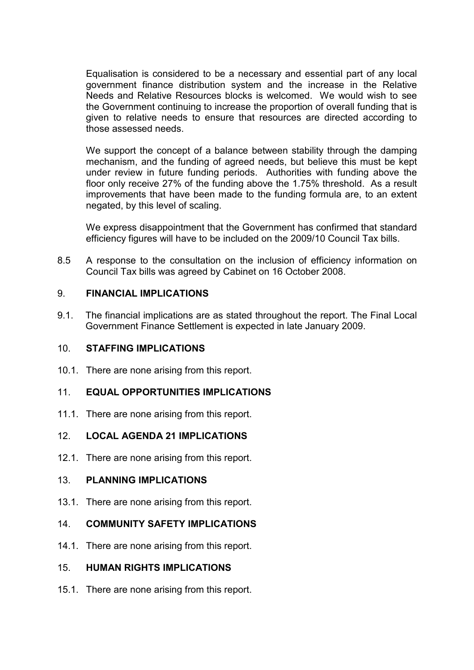Equalisation is considered to be a necessary and essential part of any local government finance distribution system and the increase in the Relative Needs and Relative Resources blocks is welcomed. We would wish to see the Government continuing to increase the proportion of overall funding that is given to relative needs to ensure that resources are directed according to those assessed needs.

 We support the concept of a balance between stability through the damping mechanism, and the funding of agreed needs, but believe this must be kept under review in future funding periods. Authorities with funding above the floor only receive 27% of the funding above the 1.75% threshold. As a result improvements that have been made to the funding formula are, to an extent negated, by this level of scaling.

 We express disappointment that the Government has confirmed that standard efficiency figures will have to be included on the 2009/10 Council Tax bills.

8.5 A response to the consultation on the inclusion of efficiency information on Council Tax bills was agreed by Cabinet on 16 October 2008.

## 9. FINANCIAL IMPLICATIONS

9.1. The financial implications are as stated throughout the report. The Final Local Government Finance Settlement is expected in late January 2009.

### 10. STAFFING IMPLICATIONS

10.1. There are none arising from this report.

# 11. EQUAL OPPORTUNITIES IMPLICATIONS

11.1. There are none arising from this report.

# 12. LOCAL AGENDA 21 IMPLICATIONS

12.1. There are none arising from this report.

#### 13. PLANNING IMPLICATIONS

13.1. There are none arising from this report.

# 14. COMMUNITY SAFETY IMPLICATIONS

14.1. There are none arising from this report.

# 15. HUMAN RIGHTS IMPLICATIONS

15.1. There are none arising from this report.